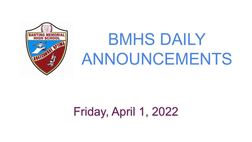## Friday, April 1, 2022



# BMHS DAILY ANNOUNCEMENTS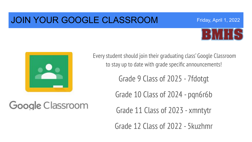#### JOIN YOUR GOOGLE CLASSROOM





Google Classroom

Every student should join their graduating class' Google Classroom to stay up to date with grade specific announcements!

Grade 9 Class of 2025 - 7fdotgt

Grade 10 Class of 2024 - pqn6r6b

Grade 11 Class of 2023 - xmntytr

Grade 12 Class of 2022 - 5kuzhmr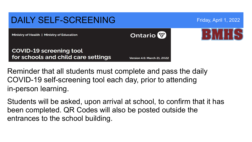#### DAILY SELF-SCREENING Friday, April 1, 2022 **Ontario** Ministry of Health | Ministry of Education **COVID-19 screening tool** for schools and child care settings **Version 4.6: March 21, 2022**

Reminder that all students must complete and pass the daily COVID-19 self-screening tool each day, prior to attending in-person learning.

Students will be asked, upon arrival at school, to confirm that it has been completed. QR Codes will also be posted outside the entrances to the school building.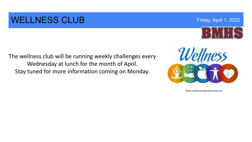#### WELLNESS CLUB **Example 2022** Friday, April 1, 2022

The wellness club will be running weekly challenges every Wednesday at lunch for the month of April. Stay tuned for more information coming on Monday.



Photo credit:hicksvillepublicschools.org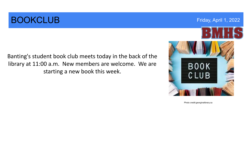### **BOOKCLUB** Friday, April 1, 2022

Banting's student book club meets today in the back of the library at 11:00 a.m. New members are welcome. We are starting a new book this week.



Photo credit:georginalibrary.ca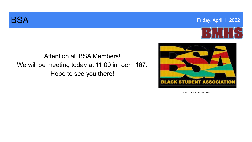



#### Attention all BSA Members! We will be meeting today at 11:00 in room 167. Hope to see you there!



Photo credit:uknews.unk.edu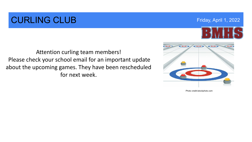### **CURLING CLUB Example 2022 Friday, April 1, 2022**

Attention curling team members! Please check your school email for an important update about the upcoming games. They have been rescheduled for next week.



Photo credit:istockphoto.com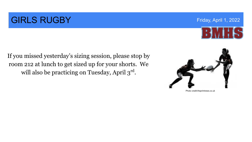### **GIRLS RUGBY** Friday, April 1, 2022



If you missed yesterday's sizing session, please stop by room 212 at lunch to get sized up for your shorts. We will also be practicing on Tuesday, April  $3^{\text{rd}}$ .



Photo credit:theprintnews.co.uk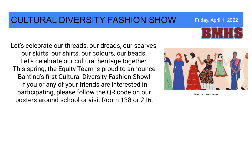#### CULTURAL DIVERSITY FASHION SHOW Friday, April 1, 2022

Let's celebrate our threads, our dreads, our scarves, our skirts, our shirts, our colours, our beads. Let's celebrate our cultural heritage together. This spring, the Equity Team is proud to announce Banting's first Cultural Diversity Fashion Show! If you or any of your friends are interested in participating, please follow the QR code on our posters around school or visit Room 138 or 216.



Photo credit:everbrite.com

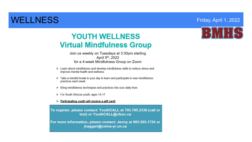#### WELLNESS Friday, April 1, 2022

#### **YOUTH WELLNESS Virtual Mindfulness Group**

Join us weekly on Tuesdays at 3:30pm starting April 5th, 2022 for a 4-week Mindfulness Group on Zoom

- > Learn about mindfulness and develop mindfulness skills to reduce stress and improve mental health and wellness
- $\triangleright$  Take a mindful break in your day to learn and participate in new mindfulness practices each week
- > Bring mindfulness techniques and practices into your daily lives
- > For South Simcoe youth, ages 14-17

#### > Participating youth will receive a gift card!

To register, please contact: YouthCALL at 705.790.2338 (call or text) or YouthCALL@cfssc.ca

For more information, please contact: Jenny at 905.505.1724 or jhaggart@cmha-yr.on.ca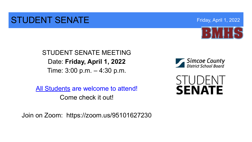#### STUDENT SENATE THE RESERVE TO A RESERVE THE RESERVE TO A REPORT OF THE RESERVE TO A RESERVE THE RESERVE TO A RESERVE THE RESERVE TO A REPORT OF THE RESERVE TO A REPORT OF THE RESERVE TO A REPORT OF THE RESERVE TO A REPORT



STUDENT SENATE MEETING Date: **Friday, April 1, 2022**  Time: 3:00 p.m. – 4:30 p.m.

All Students are welcome to attend! Come check it out!

Join on Zoom: https://zoom.us/95101627230



**SENATE**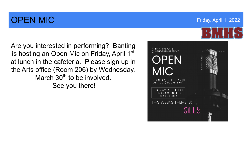### **OPEN MIC Example 2022 COPEN MIC COPEN MIC**

Are you interested in performing? Banting is hosting an Open Mic on Friday, April 1<sup>st</sup> at lunch in the cafeteria. Please sign up in the Arts office (Room 206) by Wednesday, March 30<sup>th</sup> to be involved. See you there!

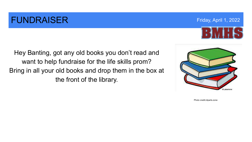#### **FUNDRAISER FUNDRAISER FUNDRAISER FRIDAY ADDENTIFY AND RESERVENT OF THE SERVER APRIL 1, 2022**

Hey Banting, got any old books you don't read and want to help fundraise for the life skills prom? Bring in all your old books and drop them in the box at the front of the library.



Photo credit:cliparts.zone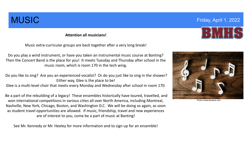**Attention all musicians!**

Music extra-curricular groups are back together after a very long break!

Do you play a wind instrument, or have you taken an instrumental music course at Banting? Then the Concert Band is the place for you! It meets Tuesday and Thursday after school in the music room, which is room 170 in the tech wing.

Do you like to sing? Are you an experienced vocalist? Or do you just like to sing in the shower? Either way, Glee is the place to be!

Glee is a multi-level choir that meets every Monday and Wednesday after school in room 170.

Be a part of the rebuilding of a legacy! These ensembles historically have toured, travelled, and won international competitions in various cities all over North America, including Montreal, Nashville, New York, Chicago, Boston, and Washington D.C. We will be doing so again, as soon as student travel opportunities are allowed. If music, friendship, travel and new experiences are of interest to you, come be a part of music at Banting!

See Mr. Kennedy or Mr. Heeley for more information and to sign up for an ensemble!